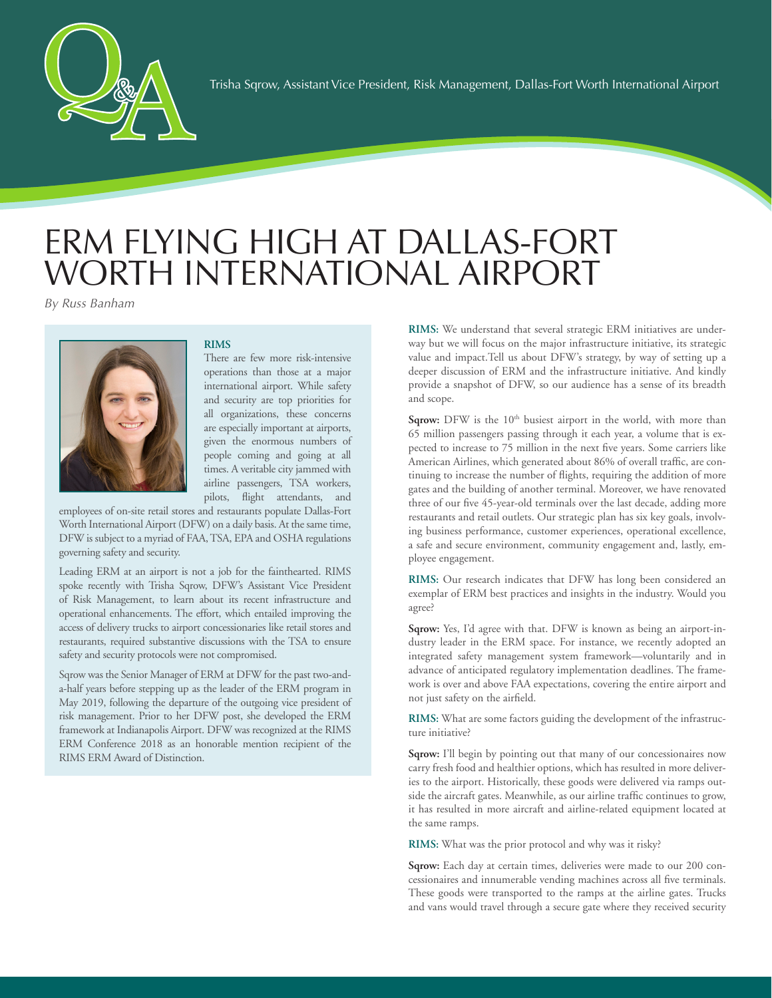

## ERM FLYING HIGH AT DALLAS-FORT WORTH INTERNATIONAL AIRPORT

*By Russ Banham*



## **RIMS**

There are few more risk-intensive operations than those at a major international airport. While safety and security are top priorities for all organizations, these concerns are especially important at airports, given the enormous numbers of people coming and going at all times. A veritable city jammed with airline passengers, TSA workers, pilots, flight attendants, and

employees of on-site retail stores and restaurants populate Dallas-Fort Worth International Airport (DFW) on a daily basis. At the same time, DFW is subject to a myriad of FAA, TSA, EPA and OSHA regulations governing safety and security.

Leading ERM at an airport is not a job for the fainthearted. RIMS spoke recently with Trisha Sqrow, DFW's Assistant Vice President of Risk Management, to learn about its recent infrastructure and operational enhancements. The effort, which entailed improving the access of delivery trucks to airport concessionaries like retail stores and restaurants, required substantive discussions with the TSA to ensure safety and security protocols were not compromised.

Sqrow was the Senior Manager of ERM at DFW for the past two-anda-half years before stepping up as the leader of the ERM program in May 2019, following the departure of the outgoing vice president of risk management. Prior to her DFW post, she developed the ERM framework at Indianapolis Airport. DFW was recognized at the RIMS ERM Conference 2018 as an honorable mention recipient of the RIMS ERM Award of Distinction.

**RIMS:** We understand that several strategic ERM initiatives are underway but we will focus on the major infrastructure initiative, its strategic value and impact.Tell us about DFW's strategy, by way of setting up a deeper discussion of ERM and the infrastructure initiative. And kindly provide a snapshot of DFW, so our audience has a sense of its breadth and scope.

Sqrow: DFW is the 10<sup>th</sup> busiest airport in the world, with more than 65 million passengers passing through it each year, a volume that is expected to increase to 75 million in the next five years. Some carriers like American Airlines, which generated about 86% of overall traffic, are continuing to increase the number of flights, requiring the addition of more gates and the building of another terminal. Moreover, we have renovated three of our five 45-year-old terminals over the last decade, adding more restaurants and retail outlets. Our strategic plan has six key goals, involving business performance, customer experiences, operational excellence, a safe and secure environment, community engagement and, lastly, employee engagement.

**RIMS:** Our research indicates that DFW has long been considered an exemplar of ERM best practices and insights in the industry. Would you agree?

**Sqrow:** Yes, I'd agree with that. DFW is known as being an airport-industry leader in the ERM space. For instance, we recently adopted an integrated safety management system framework—voluntarily and in advance of anticipated regulatory implementation deadlines. The framework is over and above FAA expectations, covering the entire airport and not just safety on the airfield.

**RIMS:** What are some factors guiding the development of the infrastructure initiative?

**Sqrow:** I'll begin by pointing out that many of our concessionaires now carry fresh food and healthier options, which has resulted in more deliveries to the airport. Historically, these goods were delivered via ramps outside the aircraft gates. Meanwhile, as our airline traffic continues to grow, it has resulted in more aircraft and airline-related equipment located at the same ramps.

**RIMS:** What was the prior protocol and why was it risky?

Sqrow: Each day at certain times, deliveries were made to our 200 concessionaires and innumerable vending machines across all five terminals. These goods were transported to the ramps at the airline gates. Trucks and vans would travel through a secure gate where they received security